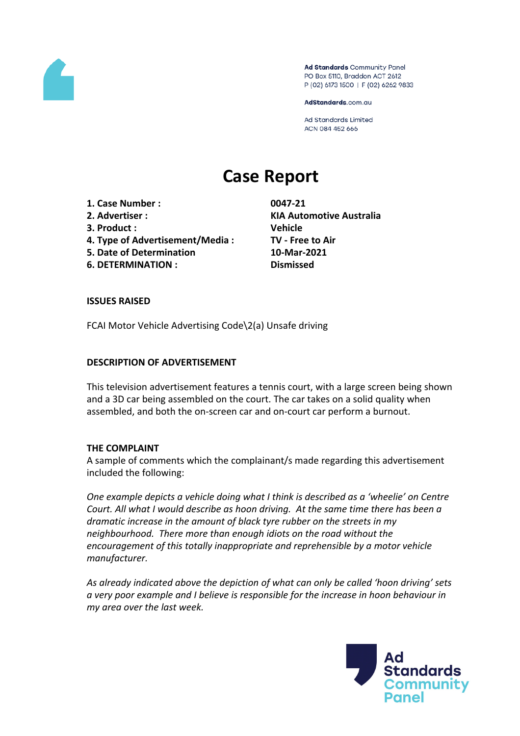

Ad Standards Community Panel PO Box 5110, Braddon ACT 2612 P (02) 6173 1500 | F (02) 6262 9833

AdStandards.com.au

**Ad Standards Limited** ACN 084 452 666

# **Case Report**

- **1. Case Number : 0047-21**
- 
- **3. Product : Vehicle**
- **4. Type of Advertisement/Media : TV - Free to Air**
- **5. Date of Determination 10-Mar-2021**
- **6. DETERMINATION : Dismissed**

**2. Advertiser : KIA Automotive Australia**

# **ISSUES RAISED**

FCAI Motor Vehicle Advertising Code\2(a) Unsafe driving

#### **DESCRIPTION OF ADVERTISEMENT**

This television advertisement features a tennis court, with a large screen being shown and a 3D car being assembled on the court. The car takes on a solid quality when assembled, and both the on-screen car and on-court car perform a burnout.

#### **THE COMPLAINT**

A sample of comments which the complainant/s made regarding this advertisement included the following:

*One example depicts a vehicle doing what I think is described as a 'wheelie' on Centre Court. All what I would describe as hoon driving. At the same time there has been a dramatic increase in the amount of black tyre rubber on the streets in my neighbourhood. There more than enough idiots on the road without the encouragement of this totally inappropriate and reprehensible by a motor vehicle manufacturer.*

*As already indicated above the depiction of what can only be called 'hoon driving' sets a very poor example and I believe is responsible for the increase in hoon behaviour in my area over the last week.*

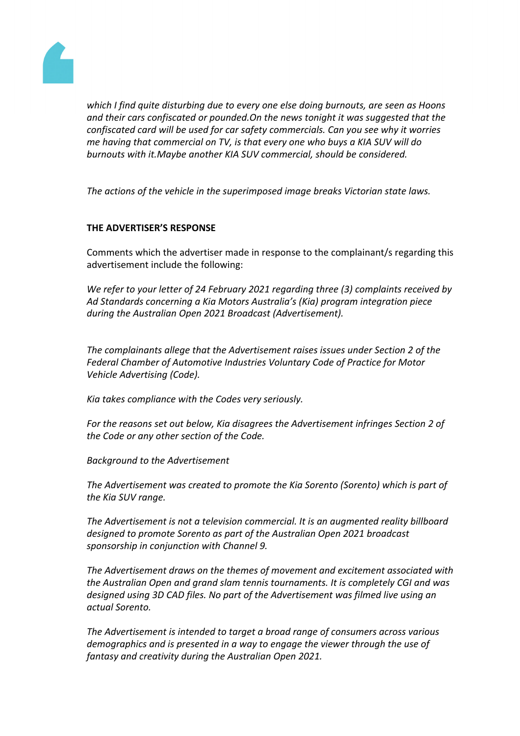

*which I find quite disturbing due to every one else doing burnouts, are seen as Hoons and their cars confiscated or pounded.On the news tonight it was suggested that the confiscated card will be used for car safety commercials. Can you see why it worries me having that commercial on TV, is that every one who buys a KIA SUV will do burnouts with it.Maybe another KIA SUV commercial, should be considered.*

*The actions of the vehicle in the superimposed image breaks Victorian state laws.*

# **THE ADVERTISER'S RESPONSE**

Comments which the advertiser made in response to the complainant/s regarding this advertisement include the following:

*We refer to your letter of 24 February 2021 regarding three (3) complaints received by Ad Standards concerning a Kia Motors Australia's (Kia) program integration piece during the Australian Open 2021 Broadcast (Advertisement).*

*The complainants allege that the Advertisement raises issues under Section 2 of the Federal Chamber of Automotive Industries Voluntary Code of Practice for Motor Vehicle Advertising (Code).*

*Kia takes compliance with the Codes very seriously.*

*For the reasons set out below, Kia disagrees the Advertisement infringes Section 2 of the Code or any other section of the Code.* 

*Background to the Advertisement*

*The Advertisement was created to promote the Kia Sorento (Sorento) which is part of the Kia SUV range.* 

*The Advertisement is not a television commercial. It is an augmented reality billboard designed to promote Sorento as part of the Australian Open 2021 broadcast sponsorship in conjunction with Channel 9.*

*The Advertisement draws on the themes of movement and excitement associated with the Australian Open and grand slam tennis tournaments. It is completely CGI and was designed using 3D CAD files. No part of the Advertisement was filmed live using an actual Sorento.*

*The Advertisement is intended to target a broad range of consumers across various demographics and is presented in a way to engage the viewer through the use of fantasy and creativity during the Australian Open 2021.*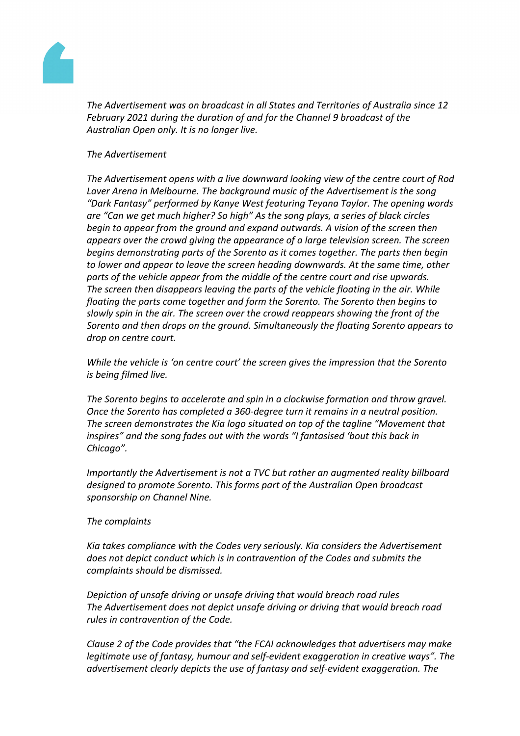

*The Advertisement was on broadcast in all States and Territories of Australia since 12 February 2021 during the duration of and for the Channel 9 broadcast of the Australian Open only. It is no longer live.* 

# *The Advertisement*

*The Advertisement opens with a live downward looking view of the centre court of Rod Laver Arena in Melbourne. The background music of the Advertisement is the song "Dark Fantasy" performed by Kanye West featuring Teyana Taylor. The opening words are "Can we get much higher? So high" As the song plays, a series of black circles begin to appear from the ground and expand outwards. A vision of the screen then appears over the crowd giving the appearance of a large television screen. The screen begins demonstrating parts of the Sorento as it comes together. The parts then begin to lower and appear to leave the screen heading downwards. At the same time, other parts of the vehicle appear from the middle of the centre court and rise upwards. The screen then disappears leaving the parts of the vehicle floating in the air. While floating the parts come together and form the Sorento. The Sorento then begins to slowly spin in the air. The screen over the crowd reappears showing the front of the Sorento and then drops on the ground. Simultaneously the floating Sorento appears to drop on centre court.*

*While the vehicle is 'on centre court' the screen gives the impression that the Sorento is being filmed live.*

*The Sorento begins to accelerate and spin in a clockwise formation and throw gravel. Once the Sorento has completed a 360-degree turn it remains in a neutral position. The screen demonstrates the Kia logo situated on top of the tagline "Movement that inspires" and the song fades out with the words "I fantasised 'bout this back in Chicago".*

*Importantly the Advertisement is not a TVC but rather an augmented reality billboard designed to promote Sorento. This forms part of the Australian Open broadcast sponsorship on Channel Nine.*

#### *The complaints*

*Kia takes compliance with the Codes very seriously. Kia considers the Advertisement does not depict conduct which is in contravention of the Codes and submits the complaints should be dismissed.*

*Depiction of unsafe driving or unsafe driving that would breach road rules The Advertisement does not depict unsafe driving or driving that would breach road rules in contravention of the Code.*

*Clause 2 of the Code provides that "the FCAI acknowledges that advertisers may make legitimate use of fantasy, humour and self-evident exaggeration in creative ways". The advertisement clearly depicts the use of fantasy and self-evident exaggeration. The*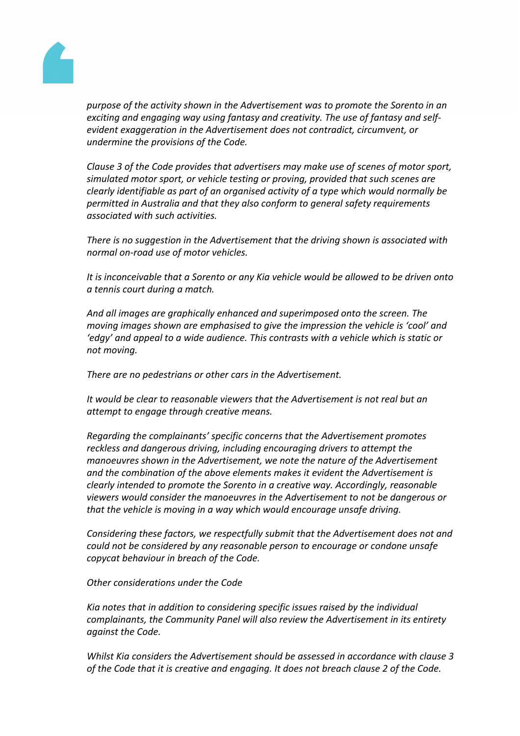

*purpose of the activity shown in the Advertisement was to promote the Sorento in an exciting and engaging way using fantasy and creativity. The use of fantasy and selfevident exaggeration in the Advertisement does not contradict, circumvent, or undermine the provisions of the Code.*

*Clause 3 of the Code provides that advertisers may make use of scenes of motor sport, simulated motor sport, or vehicle testing or proving, provided that such scenes are clearly identifiable as part of an organised activity of a type which would normally be permitted in Australia and that they also conform to general safety requirements associated with such activities.*

*There is no suggestion in the Advertisement that the driving shown is associated with normal on-road use of motor vehicles.*

*It is inconceivable that a Sorento or any Kia vehicle would be allowed to be driven onto a tennis court during a match.*

*And all images are graphically enhanced and superimposed onto the screen. The moving images shown are emphasised to give the impression the vehicle is 'cool' and 'edgy' and appeal to a wide audience. This contrasts with a vehicle which is static or not moving.* 

*There are no pedestrians or other cars in the Advertisement.*

*It would be clear to reasonable viewers that the Advertisement is not real but an attempt to engage through creative means.*

*Regarding the complainants' specific concerns that the Advertisement promotes reckless and dangerous driving, including encouraging drivers to attempt the manoeuvres shown in the Advertisement, we note the nature of the Advertisement and the combination of the above elements makes it evident the Advertisement is clearly intended to promote the Sorento in a creative way. Accordingly, reasonable viewers would consider the manoeuvres in the Advertisement to not be dangerous or that the vehicle is moving in a way which would encourage unsafe driving.* 

*Considering these factors, we respectfully submit that the Advertisement does not and could not be considered by any reasonable person to encourage or condone unsafe copycat behaviour in breach of the Code.* 

*Other considerations under the Code*

*Kia notes that in addition to considering specific issues raised by the individual complainants, the Community Panel will also review the Advertisement in its entirety against the Code.* 

*Whilst Kia considers the Advertisement should be assessed in accordance with clause 3 of the Code that it is creative and engaging. It does not breach clause 2 of the Code.*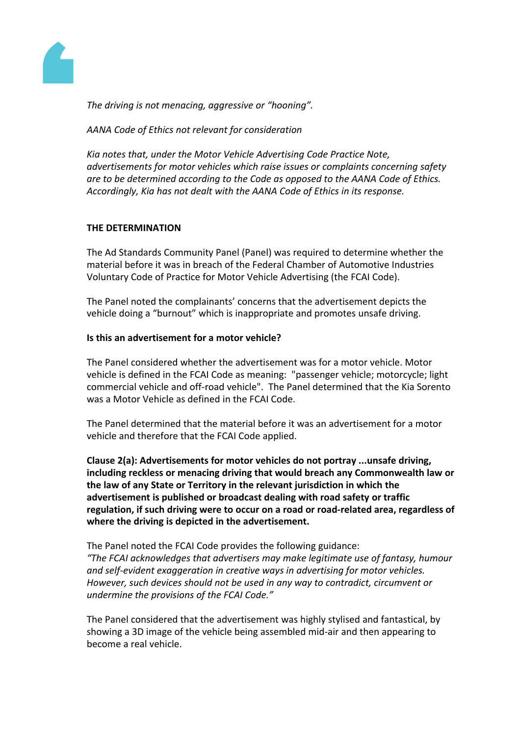

*The driving is not menacing, aggressive or "hooning".*

*AANA Code of Ethics not relevant for consideration*

*Kia notes that, under the Motor Vehicle Advertising Code Practice Note, advertisements for motor vehicles which raise issues or complaints concerning safety are to be determined according to the Code as opposed to the AANA Code of Ethics. Accordingly, Kia has not dealt with the AANA Code of Ethics in its response.*

# **THE DETERMINATION**

The Ad Standards Community Panel (Panel) was required to determine whether the material before it was in breach of the Federal Chamber of Automotive Industries Voluntary Code of Practice for Motor Vehicle Advertising (the FCAI Code).

The Panel noted the complainants' concerns that the advertisement depicts the vehicle doing a "burnout" which is inappropriate and promotes unsafe driving.

# **Is this an advertisement for a motor vehicle?**

The Panel considered whether the advertisement was for a motor vehicle. Motor vehicle is defined in the FCAI Code as meaning: "passenger vehicle; motorcycle; light commercial vehicle and off-road vehicle". The Panel determined that the Kia Sorento was a Motor Vehicle as defined in the FCAI Code.

The Panel determined that the material before it was an advertisement for a motor vehicle and therefore that the FCAI Code applied.

**Clause 2(a): Advertisements for motor vehicles do not portray ...unsafe driving, including reckless or menacing driving that would breach any Commonwealth law or the law of any State or Territory in the relevant jurisdiction in which the advertisement is published or broadcast dealing with road safety or traffic regulation, if such driving were to occur on a road or road-related area, regardless of where the driving is depicted in the advertisement.**

The Panel noted the FCAI Code provides the following guidance: *"The FCAI acknowledges that advertisers may make legitimate use of fantasy, humour and self-evident exaggeration in creative ways in advertising for motor vehicles. However, such devices should not be used in any way to contradict, circumvent or undermine the provisions of the FCAI Code."*

The Panel considered that the advertisement was highly stylised and fantastical, by showing a 3D image of the vehicle being assembled mid-air and then appearing to become a real vehicle.